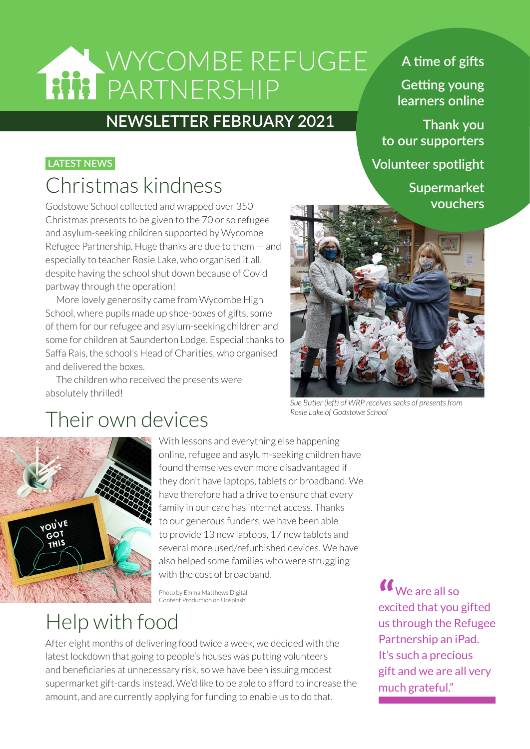# WYCOMBE REFUGEE PARTNERSHIP

## **NEWSLETTER FEBRUARY 2021**

### **LATEST NEWS**

## Christmas kindness

Godstowe School collected and wrapped over 350 Christmas presents to be given to the 70 or so refugee and asylum-seeking children supported by Wycombe Refugee Partnership. Huge thanks are due to them — and especially to teacher Rosie Lake, who organised it all, despite having the school shut down because of Covid partway through the operation!

More lovely generosity came from Wycombe High School, where pupils made up shoe-boxes of gifts, some of them for our refugee and asylum-seeking children and some for children at Saunderton Lodge. Especial thanks to Saffa Rais, the school's Head of Charities, who organised and delivered the boxes.

The children who received the presents were absolutely thrilled!

#### *Sue Butler (left) of WRP receives sacks of presents from Rosie Lake of Godstowe School*

## Their own devices



With lessons and everything else happening online, refugee and asylum-seeking children have found themselves even more disadvantaged if they don't have laptops, tablets or broadband. We have therefore had a drive to ensure that every family in our care has internet access. Thanks to our generous funders, we have been able to provide 13 new laptops, 17 new tablets and several more used/refurbished devices. We have also helped some families who were struggling with the cost of broadband.

Photo by Emma Matthews Digital Content Production on Unsplash

Help with food

After eight months of delivering food twice a week, we decided with the latest lockdown that going to people's houses was putting volunteers and beneficiaries at unnecessary risk, so we have been issuing modest supermarket gift-cards instead. We'd like to be able to afford to increase the amount, and are currently applying for funding to enable us to do that.

**"** We are all so excited that you gifted us through the Refugee Partnership an iPad. It's such a precious gift and we are all very much grateful."

## **A time of gifts**

**Getting young learners online**

 **Thank you to our supporters**

**Volunteer spotlight**

**Supermarket vouchers**